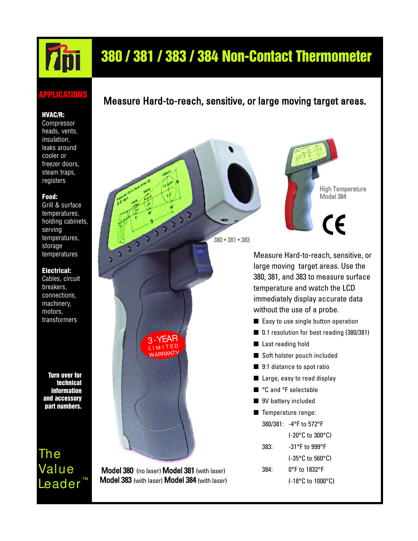# 380 / 381 / 383 / 384 Non-Contact Thermometer

### APPLICATIONS

#### HVAC/R:

Compressor heads, vents, insulation, leaks around cooler or freezer doors, steam traps, registers

#### Food:

Grill & surface temperatures, holding cabinets, serving temperatures, storage temperatures

#### Electrical:

Cables, circuit breakers, connections, machinery, motors, transformers

Turn over for technical information and accessory part numbers.

The Value Leader<sup>™</sup>

### Measure Hard-to-reach, sensitive, or large moving target areas.

Model 380 (no laser) Model 381 (with laser) Model 383 (with laser) Model 384 (with laser)

3-YEAR LI MITED WARRANTY



380 • 381 • 383

Measure Hard-to-reach, sensitive, or large moving target areas. Use the 380, 381, and 383 to measure surface temperature and watch the LCD immediately display accurate data without the use of a probe.

- Easy to use single button operation
- 0.1 resolution for best reading (380/381)
- Last reading hold
- Soft holster pouch included
- 9:1 distance to spot ratio
- Large, easy to read display
- °C and °F selectable
- 9V battery included
- Temperature range: 380/381: -4°F to 572°F
	- (-20°C to 300°C)
	- 383: -31°F to 999°F
		- (-35°C to 560°C)
	- 384: 0°F to 1832°F
		- (-18°C to 1000°C)